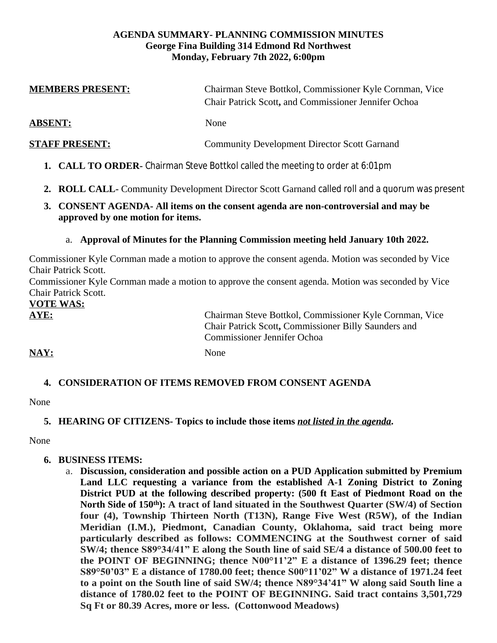#### **AGENDA SUMMARY- PLANNING COMMISSION MINUTES George Fina Building 314 Edmond Rd Northwest Monday, February 7th 2022, 6:00pm**

| <b>MEMBERS PRESENT:</b>                  | Chairman Steve Bottkol, Commissioner Kyle Cornman, Vice<br>Chair Patrick Scott, and Commissioner Jennifer Ochoa                                       |
|------------------------------------------|-------------------------------------------------------------------------------------------------------------------------------------------------------|
| <b>ABSENT:</b>                           | None                                                                                                                                                  |
| <b>STAFF PRESENT:</b>                    | <b>Community Development Director Scott Garnand</b>                                                                                                   |
|                                          | 1. CALL TO ORDER- Chairman Steve Bottkol called the meeting to order at 6:01pm                                                                        |
|                                          | 2. ROLL CALL- Community Development Director Scott Garnand called roll and a quorum was present                                                       |
| 3.<br>approved by one motion for items.  | <b>CONSENT AGENDA- All items on the consent agenda are non-controversial and may be</b>                                                               |
|                                          | a. Approval of Minutes for the Planning Commission meeting held January 10th 2022.                                                                    |
| <b>Chair Patrick Scott.</b>              | Commissioner Kyle Cornman made a motion to approve the consent agenda. Motion was seconded by Vice                                                    |
| Chair Patrick Scott.<br><b>VOTE WAS:</b> | Commissioner Kyle Cornman made a motion to approve the consent agenda. Motion was seconded by Vice                                                    |
| AYE:                                     | Chairman Steve Bottkol, Commissioner Kyle Cornman, Vice<br>Chair Patrick Scott, Commissioner Billy Saunders and<br><b>Commissioner Jennifer Ochoa</b> |
| <b>NAY:</b>                              | None                                                                                                                                                  |
|                                          | <b>4. CONSIDERATION OF ITEMS REMOVED FROM CONSENT AGENDA</b>                                                                                          |

None

### **5. HEARING OF CITIZENS- Topics to include those items** *not listed in the agenda***.**

None

### **6. BUSINESS ITEMS:**

a. **Discussion, consideration and possible action on a PUD Application submitted by Premium Land LLC requesting a variance from the established A-1 Zoning District to Zoning District PUD at the following described property: (500 ft East of Piedmont Road on the North Side of 150th): A tract of land situated in the Southwest Quarter (SW/4) of Section four (4), Township Thirteen North (T13N), Range Five West (R5W), of the Indian Meridian (I.M.), Piedmont, Canadian County, Oklahoma, said tract being more particularly described as follows: COMMENCING at the Southwest corner of said SW/4; thence S89°34/41" E along the South line of said SE/4 a distance of 500.00 feet to the POINT OF BEGINNING; thence N00°11'2" E a distance of 1396.29 feet; thence S89°50'03" E a distance of 1780.00 feet; thence S00°11'02" W a distance of 1971.24 feet** to a point on the South line of said SW/4; thence N89°34'41" W along said South line a **distance of 1780.02 feet to the POINT OF BEGINNING. Said tract contains 3,501,729 Sq Ft or 80.39 Acres, more or less. (Cottonwood Meadows)**